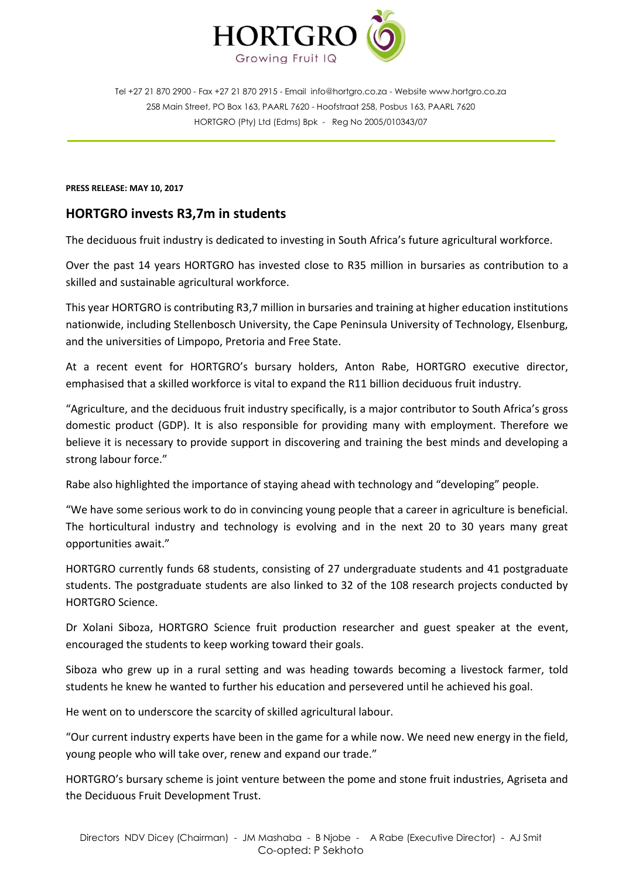

Tel +27 21 870 2900 - Fax +27 21 870 2915 - Email [info@hortgro.co.za](mailto:info@hortgro.co.za) - Website www.hortgro.co.za 258 Main Street, PO Box 163, PAARL 7620 - Hoofstraat 258, Posbus 163, PAARL 7620 HORTGRO (Pty) Ltd (Edms) Bpk - Reg No 2005/010343/07

## **PRESS RELEASE: MAY 10, 2017**

## **HORTGRO invests R3,7m in students**

The deciduous fruit industry is dedicated to investing in South Africa's future agricultural workforce.

Over the past 14 years HORTGRO has invested close to R35 million in bursaries as contribution to a skilled and sustainable agricultural workforce.

This year HORTGRO is contributing R3,7 million in bursaries and training at higher education institutions nationwide, including Stellenbosch University, the Cape Peninsula University of Technology, Elsenburg, and the universities of Limpopo, Pretoria and Free State.

At a recent event for HORTGRO's bursary holders, Anton Rabe, HORTGRO executive director, emphasised that a skilled workforce is vital to expand the R11 billion deciduous fruit industry.

"Agriculture, and the deciduous fruit industry specifically, is a major contributor to South Africa's gross domestic product (GDP). It is also responsible for providing many with employment. Therefore we believe it is necessary to provide support in discovering and training the best minds and developing a strong labour force."

Rabe also highlighted the importance of staying ahead with technology and "developing" people.

"We have some serious work to do in convincing young people that a career in agriculture is beneficial. The horticultural industry and technology is evolving and in the next 20 to 30 years many great opportunities await."

HORTGRO currently funds 68 students, consisting of 27 undergraduate students and 41 postgraduate students. The postgraduate students are also linked to 32 of the 108 research projects conducted by HORTGRO Science.

Dr Xolani Siboza, HORTGRO Science fruit production researcher and guest speaker at the event, encouraged the students to keep working toward their goals.

Siboza who grew up in a rural setting and was heading towards becoming a livestock farmer, told students he knew he wanted to further his education and persevered until he achieved his goal.

He went on to underscore the scarcity of skilled agricultural labour.

"Our current industry experts have been in the game for a while now. We need new energy in the field, young people who will take over, renew and expand our trade."

HORTGRO's bursary scheme is joint venture between the pome and stone fruit industries, Agriseta and the Deciduous Fruit Development Trust.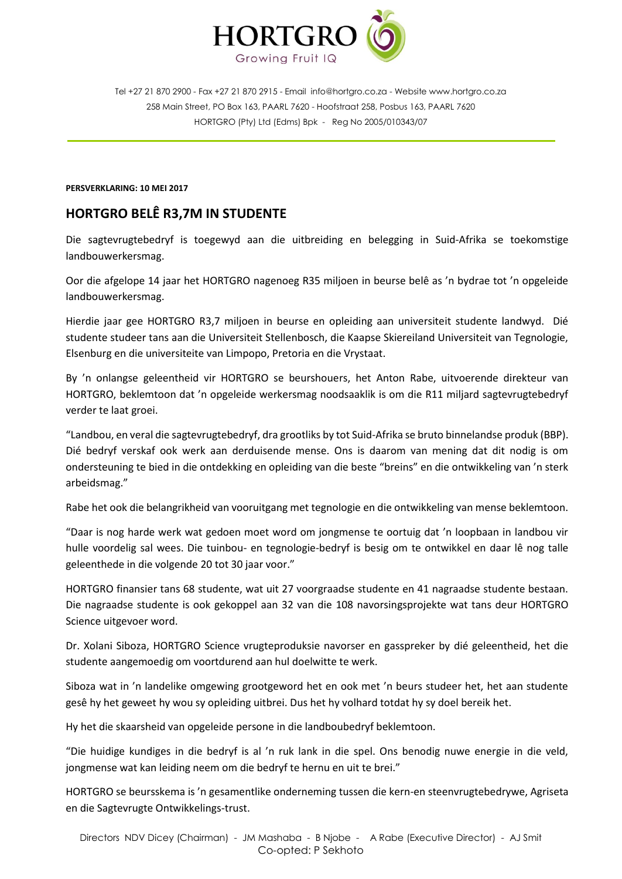

Tel +27 21 870 2900 - Fax +27 21 870 2915 - Email [info@hortgro.co.za](mailto:info@hortgro.co.za) - Website www.hortgro.co.za 258 Main Street, PO Box 163, PAARL 7620 - Hoofstraat 258, Posbus 163, PAARL 7620 HORTGRO (Pty) Ltd (Edms) Bpk - Reg No 2005/010343/07

**PERSVERKLARING: 10 MEI 2017**

## **HORTGRO BELÊ R3,7M IN STUDENTE**

Die sagtevrugtebedryf is toegewyd aan die uitbreiding en belegging in Suid-Afrika se toekomstige landbouwerkersmag.

Oor die afgelope 14 jaar het HORTGRO nagenoeg R35 miljoen in beurse belê as 'n bydrae tot 'n opgeleide landbouwerkersmag.

Hierdie jaar gee HORTGRO R3,7 miljoen in beurse en opleiding aan universiteit studente landwyd. Dié studente studeer tans aan die Universiteit Stellenbosch, die Kaapse Skiereiland Universiteit van Tegnologie, Elsenburg en die universiteite van Limpopo, Pretoria en die Vrystaat.

By 'n onlangse geleentheid vir HORTGRO se beurshouers, het Anton Rabe, uitvoerende direkteur van HORTGRO, beklemtoon dat 'n opgeleide werkersmag noodsaaklik is om die R11 miljard sagtevrugtebedryf verder te laat groei.

"Landbou, en veral die sagtevrugtebedryf, dra grootliks by tot Suid-Afrika se bruto binnelandse produk (BBP). Dié bedryf verskaf ook werk aan derduisende mense. Ons is daarom van mening dat dit nodig is om ondersteuning te bied in die ontdekking en opleiding van die beste "breins" en die ontwikkeling van 'n sterk arbeidsmag."

Rabe het ook die belangrikheid van vooruitgang met tegnologie en die ontwikkeling van mense beklemtoon.

"Daar is nog harde werk wat gedoen moet word om jongmense te oortuig dat 'n loopbaan in landbou vir hulle voordelig sal wees. Die tuinbou- en tegnologie-bedryf is besig om te ontwikkel en daar lê nog talle geleenthede in die volgende 20 tot 30 jaar voor."

HORTGRO finansier tans 68 studente, wat uit 27 voorgraadse studente en 41 nagraadse studente bestaan. Die nagraadse studente is ook gekoppel aan 32 van die 108 navorsingsprojekte wat tans deur HORTGRO Science uitgevoer word.

Dr. Xolani Siboza, HORTGRO Science vrugteproduksie navorser en gasspreker by dié geleentheid, het die studente aangemoedig om voortdurend aan hul doelwitte te werk.

Siboza wat in 'n landelike omgewing grootgeword het en ook met 'n beurs studeer het, het aan studente gesê hy het geweet hy wou sy opleiding uitbrei. Dus het hy volhard totdat hy sy doel bereik het.

Hy het die skaarsheid van opgeleide persone in die landboubedryf beklemtoon.

"Die huidige kundiges in die bedryf is al 'n ruk lank in die spel. Ons benodig nuwe energie in die veld, jongmense wat kan leiding neem om die bedryf te hernu en uit te brei."

HORTGRO se beursskema is 'n gesamentlike onderneming tussen die kern-en steenvrugtebedrywe, Agriseta en die Sagtevrugte Ontwikkelings-trust.